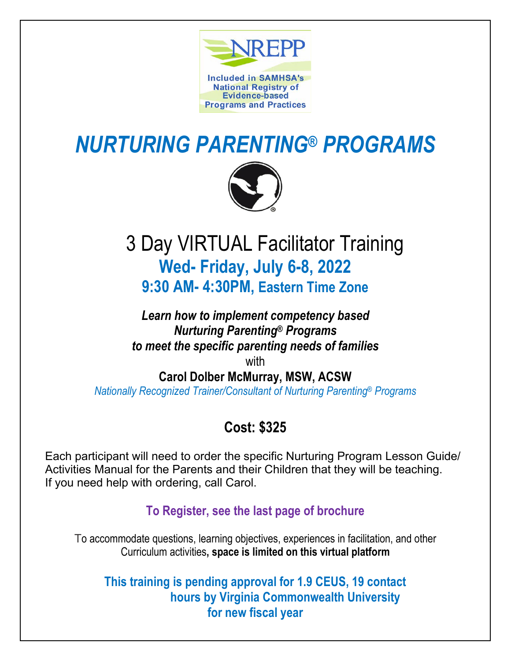

# *NURTURING PARENTING® PROGRAMS*



## 3 Day VIRTUAL Facilitator Training **Wed- Friday, July 6-8, 2022 9:30 AM- 4:30PM, Eastern Time Zone**

*Learn how to implement competency based Nurturing Parenting® Programs to meet the specific parenting needs of families* with

**Carol Dolber McMurray, MSW, ACSW**

*Nationally Recognized Trainer/Consultant of Nurturing Parenting® Programs*

## **Cost: \$325**

Each participant will need to order the specific Nurturing Program Lesson Guide/ Activities Manual for the Parents and their Children that they will be teaching. If you need help with ordering, call Carol.

**To Register, see the last page of brochure** 

To accommodate questions, learning objectives, experiences in facilitation, and other Curriculum activities**, space is limited on this virtual platform**

**This training is pending approval for 1.9 CEUS, 19 contact hours by Virginia Commonwealth University for new fiscal year**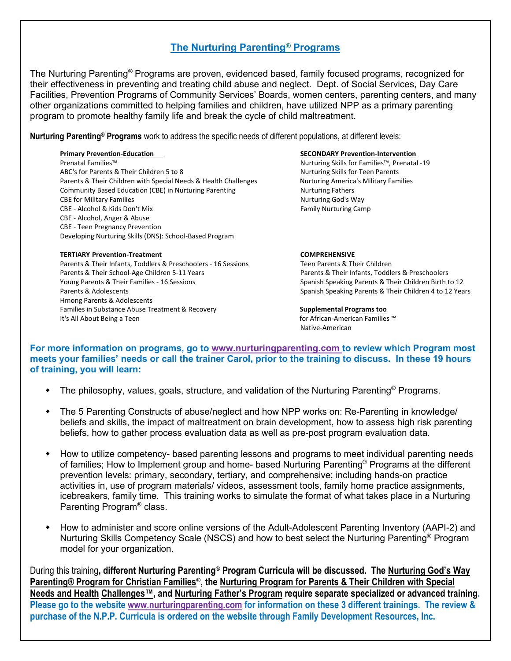### **The Nurturing Parenting***®* **Programs**

The Nurturing Parenting*®* Programs are proven, evidenced based, family focused programs, recognized for their effectiveness in preventing and treating child abuse and neglect. Dept. of Social Services, Day Care Facilities, Prevention Programs of Community Services' Boards, women centers, parenting centers, and many other organizations committed to helping families and children, have utilized NPP as a primary parenting program to promote healthy family life and break the cycle of child maltreatment.

**Nurturing Parenting**® **Programs** work to address the specific needs of different populations, at different levels:

Prenatal Families™ Nurturing Skills for Families™, Prenatal -19 ABC's for Parents & Their Children 5 to 8 Nurturing Skills for Teen Parents Parents & Their Children with Special Needs & Health Challenges Nurturing America's Military Families Community Based Education (CBE) in Nurturing Parenting Nurturing Fathers CBE for Military Families Nurturing God's Way CBE - Alcohol & Kids Don't Mix **Family Nurturing Camp** Family Nurturing Camp CBE - Alcohol, Anger & Abuse CBE - Teen Pregnancy Prevention Developing Nurturing Skills (DNS): School-Based Program

### **TERTIARY Prevention-Treatment COMPREHENSIVE**

Parents & Their Infants, Toddlers & Preschoolers - 16 Sessions Teen Parents & Their Children Parents & Their School-Age Children 5-11 Years Parents & Their Infants, Toddlers & Preschoolers Young Parents & Their Families - 16 Sessions Spanish Spanish Speaking Parents & Their Children Birth to 12 Parents & Adolescents **Spanish Speaking Parents & Their Children 4 to 12 Years** Spanish Speaking Parents & Their Children 4 to 12 Years Hmong Parents & Adolescents Families in Substance Abuse Treatment & Recovery **Supplemental Programs too** It's All About Being a Teen for African-American Families ™ for African-American Families ™

### **Primary Prevention-Education SECONDARY Prevention-Intervention**

Native-American

**For more information on programs, go to [www.nurturingparenting.com](http://www.nurturingparenting.com/) to review which Program most meets your families' needs or call the trainer Carol, prior to the training to discuss. In these 19 hours of training, you will learn:**

- The philosophy, values, goals, structure, and validation of the Nurturing Parenting<sup>®</sup> Programs.
- The 5 Parenting Constructs of abuse/neglect and how NPP works on: Re-Parenting in knowledge/ beliefs and skills, the impact of maltreatment on brain development, how to assess high risk parenting beliefs, how to gather process evaluation data as well as pre-post program evaluation data.
- How to utilize competency- based parenting lessons and programs to meet individual parenting needs of families; How to Implement group and home- based Nurturing Parenting® Programs at the different prevention levels: primary, secondary, tertiary, and comprehensive; including hands-on practice activities in, use of program materials/ videos, assessment tools, family home practice assignments, icebreakers, family time. This training works to simulate the format of what takes place in a Nurturing Parenting Program® class.
- How to administer and score online versions of the Adult-Adolescent Parenting Inventory (AAPI-2) and Nurturing Skills Competency Scale (NSCS) and how to best select the Nurturing Parenting<sup>®</sup> Program model for your organization.

During this training**, different Nurturing Parenting**® **Program Curricula will be discussed. The Nurturing God's Way Parenting® Program for Christian Families**®**, the Nurturing Program for Parents & Their Children with Special Needs and Health Challenges™, and Nurturing Father's Program require separate specialized or advanced training. Please go to the website [www.nurturingparenting.com](http://www.nurturingparenting.com/) for information on these 3 different trainings. The review & purchase of the N.P.P. Curricula is ordered on the website through Family Development Resources, Inc.**